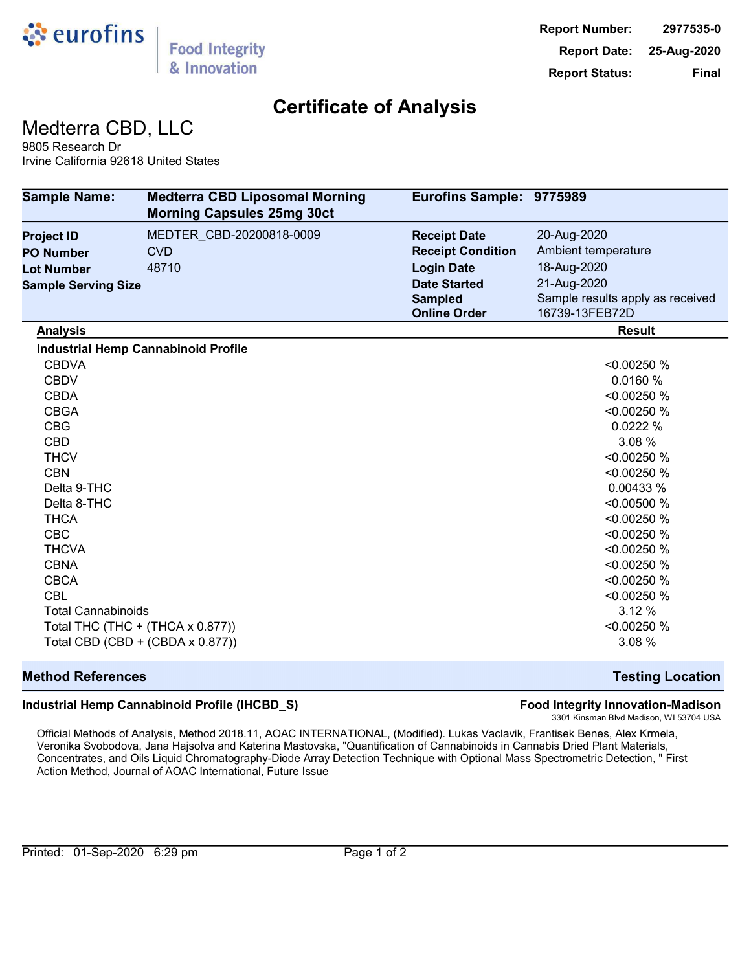

Medterra CBD, LLC

9805 Research Dr Irvine California 92618 United States

| <b>Sample Name:</b>        | <b>Medterra CBD Liposomal Morning</b><br><b>Morning Capsules 25mg 30ct</b> | Eurofins Sample: 9775989 |                                  |
|----------------------------|----------------------------------------------------------------------------|--------------------------|----------------------------------|
| <b>Project ID</b>          | MEDTER CBD-20200818-0009                                                   | <b>Receipt Date</b>      | 20-Aug-2020                      |
| <b>PO Number</b>           | <b>CVD</b>                                                                 | <b>Receipt Condition</b> | Ambient temperature              |
| <b>Lot Number</b>          | 48710                                                                      | <b>Login Date</b>        | 18-Aug-2020                      |
| <b>Sample Serving Size</b> |                                                                            | <b>Date Started</b>      | 21-Aug-2020                      |
|                            |                                                                            | <b>Sampled</b>           | Sample results apply as received |
|                            |                                                                            | <b>Online Order</b>      | 16739-13FEB72D                   |
| <b>Analysis</b>            |                                                                            |                          | <b>Result</b>                    |
|                            | <b>Industrial Hemp Cannabinoid Profile</b>                                 |                          |                                  |
| <b>CBDVA</b>               |                                                                            |                          | < 0.00250 %                      |
| <b>CBDV</b>                |                                                                            |                          | 0.0160 %                         |
| <b>CBDA</b>                |                                                                            |                          | < 0.00250 %                      |
| <b>CBGA</b>                |                                                                            |                          | < 0.00250 %                      |
| <b>CBG</b>                 |                                                                            |                          | 0.0222 %                         |
| <b>CBD</b>                 |                                                                            |                          | 3.08 %                           |
| <b>THCV</b>                |                                                                            |                          | < 0.00250 %                      |
| <b>CBN</b>                 |                                                                            |                          | < 0.00250 %                      |
| Delta 9-THC                |                                                                            |                          | 0.00433 %                        |
| Delta 8-THC                |                                                                            |                          | < 0.00500 %                      |
| THCA                       |                                                                            |                          | < 0.00250 %                      |
| <b>CBC</b>                 |                                                                            |                          | < 0.00250 %                      |
| <b>THCVA</b>               |                                                                            |                          | < 0.00250 %                      |
| <b>CBNA</b>                |                                                                            |                          | < 0.00250 %                      |
| <b>CBCA</b>                |                                                                            |                          | < 0.00250 %                      |
| <b>CBL</b>                 |                                                                            |                          | < 0.00250 %                      |
| <b>Total Cannabinoids</b>  |                                                                            |                          | 3.12 %                           |
|                            | Total THC (THC + (THCA x 0.877))                                           |                          | < 0.00250 %                      |
|                            | Total CBD (CBD + (CBDA x 0.877))                                           |                          | 3.08 %                           |

#### **Method References Testing Location**

#### **Industrial Hemp Cannabinoid Profile (IHCBD\_S) Food Integrity Innovation-Madison**

3301 Kinsman Blvd Madison, WI 53704 USA

Official Methods of Analysis, Method 2018.11, AOAC INTERNATIONAL, (Modified). Lukas Vaclavik, Frantisek Benes, Alex Krmela, Veronika Svobodova, Jana Hajsolva and Katerina Mastovska, "Quantification of Cannabinoids in Cannabis Dried Plant Materials, Concentrates, and Oils Liquid Chromatography-Diode Array Detection Technique with Optional Mass Spectrometric Detection, " First Action Method, Journal of AOAC International, Future Issue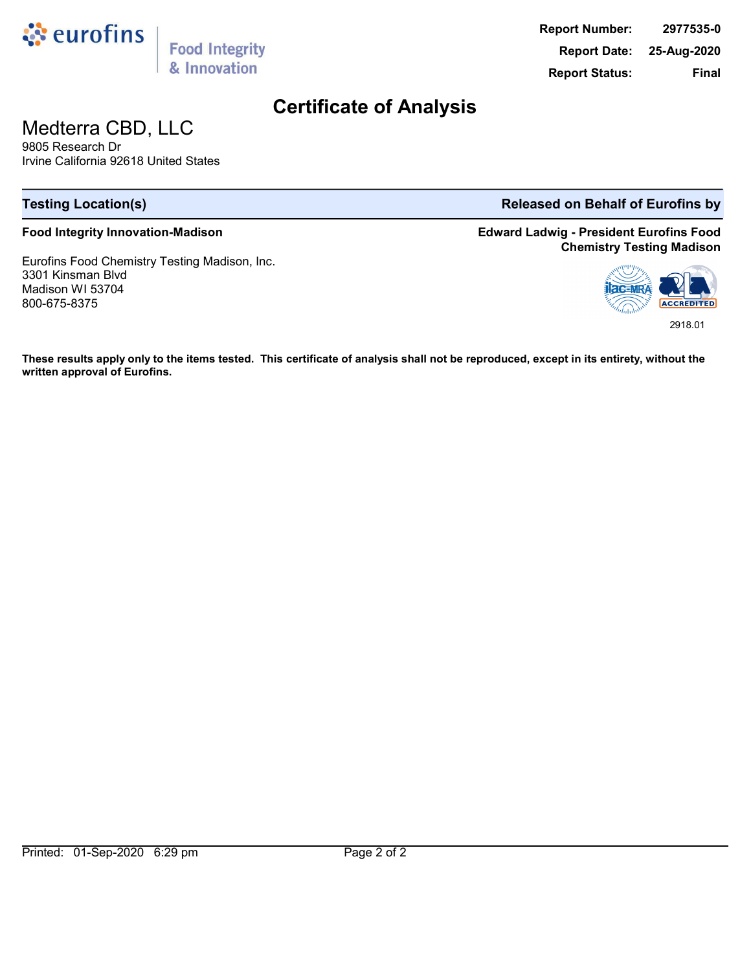

**Food Integrity** & Innovation

**Report Number: 2977535-0 Report Date: 25-Aug-2020 Report Status: Final**

### **Certificate of Analysis**

# Medterra CBD, LLC

9805 Research Dr Irvine California 92618 United States

#### **Food Integrity Innovation-Madison**

Eurofins Food Chemistry Testing Madison, Inc. 3301 Kinsman Blvd Madison WI 53704 800-675-8375

#### **Testing Location(s) Released on Behalf of Eurofins by**

**Edward Ladwig - President Eurofins Food Chemistry Testing Madison**



**These results apply only to the items tested. This certificate of analysis shall not be reproduced, except in its entirety, without the written approval of Eurofins.**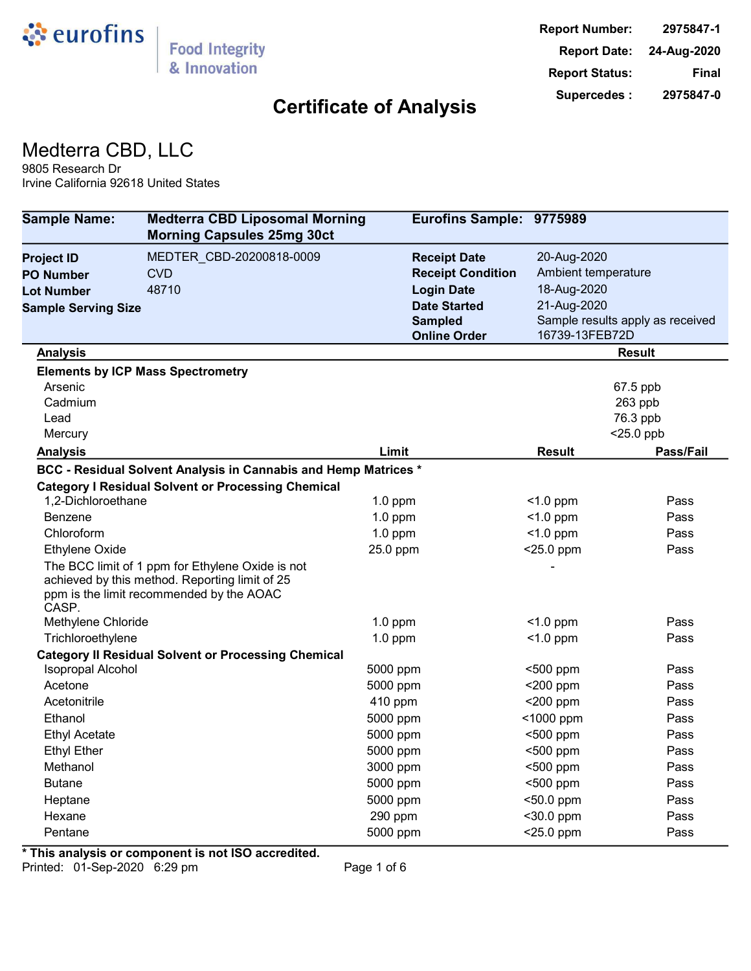

## Medterra CBD, LLC

9805 Research Dr Irvine California 92618 United States

| <b>Sample Name:</b>        | <b>Medterra CBD Liposomal Morning</b><br><b>Morning Capsules 25mg 30ct</b>                                                                     |                          | Eurofins Sample: 9775989 |                                  |
|----------------------------|------------------------------------------------------------------------------------------------------------------------------------------------|--------------------------|--------------------------|----------------------------------|
| <b>Project ID</b>          | MEDTER CBD-20200818-0009                                                                                                                       | <b>Receipt Date</b>      | 20-Aug-2020              |                                  |
| PO Number                  | <b>CVD</b>                                                                                                                                     | <b>Receipt Condition</b> | Ambient temperature      |                                  |
| Lot Number                 | 48710                                                                                                                                          | <b>Login Date</b>        | 18-Aug-2020              |                                  |
| <b>Sample Serving Size</b> |                                                                                                                                                | <b>Date Started</b>      | 21-Aug-2020              |                                  |
|                            |                                                                                                                                                | <b>Sampled</b>           |                          | Sample results apply as received |
|                            |                                                                                                                                                | <b>Online Order</b>      | 16739-13FEB72D           |                                  |
| <b>Analysis</b>            |                                                                                                                                                |                          |                          | <b>Result</b>                    |
|                            | <b>Elements by ICP Mass Spectrometry</b>                                                                                                       |                          |                          |                                  |
| Arsenic                    |                                                                                                                                                |                          |                          | 67.5 ppb                         |
| Cadmium                    |                                                                                                                                                |                          |                          | 263 ppb                          |
| Lead                       |                                                                                                                                                |                          |                          | 76.3 ppb                         |
| Mercury                    |                                                                                                                                                |                          |                          | $<$ 25.0 ppb                     |
| <b>Analysis</b>            |                                                                                                                                                | Limit                    | Result                   | Pass/Fail                        |
|                            | BCC - Residual Solvent Analysis in Cannabis and Hemp Matrices *                                                                                |                          |                          |                                  |
| 1,2-Dichloroethane         | <b>Category I Residual Solvent or Processing Chemical</b>                                                                                      |                          | $<$ 1.0 ppm              | Pass                             |
| <b>Benzene</b>             |                                                                                                                                                | $1.0$ ppm<br>$1.0$ ppm   | $<$ 1.0 ppm              | Pass                             |
| Chloroform                 |                                                                                                                                                | $1.0$ ppm                | $<$ 1.0 ppm              | Pass                             |
| <b>Ethylene Oxide</b>      |                                                                                                                                                | 25.0 ppm                 | <25.0 ppm                | Pass                             |
| CASP.                      | The BCC limit of 1 ppm for Ethylene Oxide is not<br>achieved by this method. Reporting limit of 25<br>ppm is the limit recommended by the AOAC |                          |                          |                                  |
| Methylene Chloride         |                                                                                                                                                | $1.0$ ppm                | $<$ 1.0 ppm              | Pass                             |
| Trichloroethylene          |                                                                                                                                                | $1.0$ ppm                | $<$ 1.0 ppm              | Pass                             |
|                            | <b>Category II Residual Solvent or Processing Chemical</b>                                                                                     |                          |                          |                                  |
| <b>Isopropal Alcohol</b>   |                                                                                                                                                | 5000 ppm                 | $500$ ppm                | Pass                             |
| Acetone                    |                                                                                                                                                | 5000 ppm                 | $<$ 200 ppm              | Pass                             |
| Acetonitrile               |                                                                                                                                                | 410 ppm                  | <200 ppm                 | Pass                             |
| Ethanol                    |                                                                                                                                                | 5000 ppm                 | <1000 ppm                | Pass                             |
| <b>Ethyl Acetate</b>       |                                                                                                                                                | 5000 ppm                 | $500$ ppm                | Pass                             |
| <b>Ethyl Ether</b>         |                                                                                                                                                | 5000 ppm                 | <500 ppm                 | Pass                             |
| Methanol                   |                                                                                                                                                | 3000 ppm                 | <500 ppm                 | Pass                             |
| <b>Butane</b>              |                                                                                                                                                | 5000 ppm                 | <500 ppm                 | Pass                             |
| Heptane                    |                                                                                                                                                | 5000 ppm                 | <50.0 ppm                | Pass                             |
| Hexane                     |                                                                                                                                                | 290 ppm                  | $30.0$ ppm               | Pass                             |
| Pentane                    |                                                                                                                                                | 5000 ppm                 | <25.0 ppm                | Pass                             |

**\* This analysis or component is not ISO accredited.**

Printed: 01-Sep-2020 6:29 pm Page 1 of 6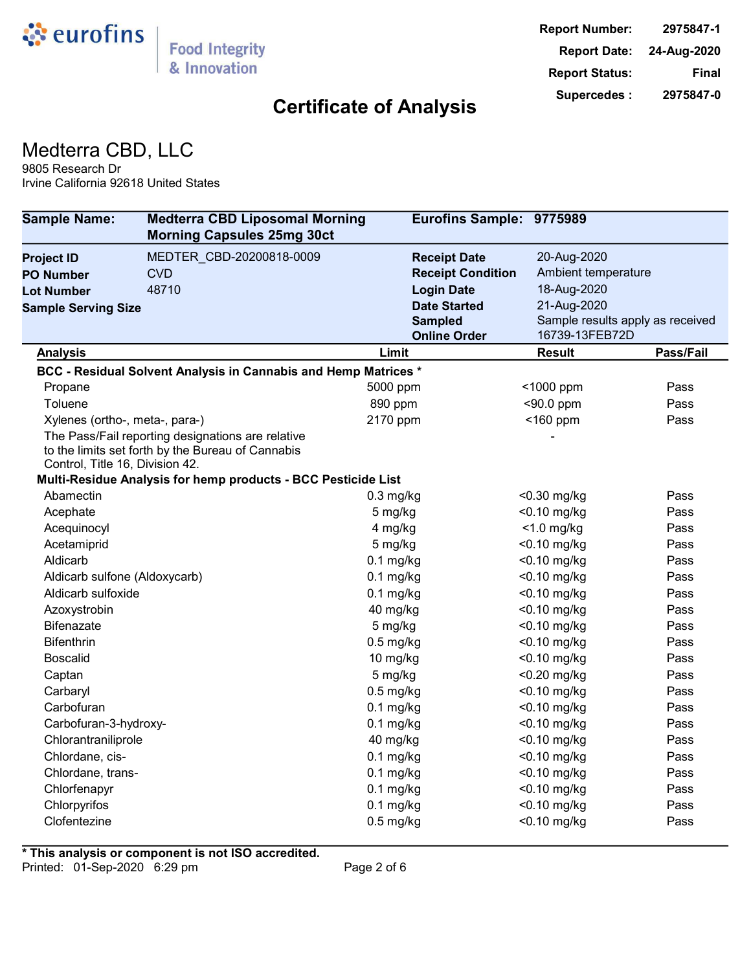

## Medterra CBD, LLC

9805 Research Dr Irvine California 92618 United States

| <b>Sample Name:</b>             | <b>Medterra CBD Liposomal Morning</b><br><b>Morning Capsules 25mg 30ct</b>                                                                                              | Eurofins Sample: 9775989 |                     |                                  |
|---------------------------------|-------------------------------------------------------------------------------------------------------------------------------------------------------------------------|--------------------------|---------------------|----------------------------------|
| <b>Project ID</b>               | MEDTER CBD-20200818-0009                                                                                                                                                | <b>Receipt Date</b>      | 20-Aug-2020         |                                  |
| <b>PO Number</b>                | <b>CVD</b>                                                                                                                                                              | <b>Receipt Condition</b> | Ambient temperature |                                  |
| <b>Lot Number</b>               | 48710                                                                                                                                                                   | <b>Login Date</b>        | 18-Aug-2020         |                                  |
| <b>Sample Serving Size</b>      |                                                                                                                                                                         | <b>Date Started</b>      | 21-Aug-2020         |                                  |
|                                 |                                                                                                                                                                         | <b>Sampled</b>           |                     | Sample results apply as received |
|                                 |                                                                                                                                                                         | <b>Online Order</b>      | 16739-13FEB72D      |                                  |
| <b>Analysis</b>                 |                                                                                                                                                                         | Limit                    | <b>Result</b>       | Pass/Fail                        |
|                                 | BCC - Residual Solvent Analysis in Cannabis and Hemp Matrices *                                                                                                         |                          |                     |                                  |
| Propane                         |                                                                                                                                                                         | 5000 ppm                 | <1000 ppm           | Pass                             |
| Toluene                         |                                                                                                                                                                         | 890 ppm                  | $<$ 90.0 ppm        | Pass                             |
| Xylenes (ortho-, meta-, para-)  |                                                                                                                                                                         | 2170 ppm                 | <160 ppm            | Pass                             |
| Control, Title 16, Division 42. | The Pass/Fail reporting designations are relative<br>to the limits set forth by the Bureau of Cannabis<br>Multi-Residue Analysis for hemp products - BCC Pesticide List |                          |                     |                                  |
| Abamectin                       |                                                                                                                                                                         | $0.3$ mg/kg              | <0.30 mg/kg         | Pass                             |
| Acephate                        |                                                                                                                                                                         | 5 mg/kg                  | $<$ 0.10 mg/kg      | Pass                             |
| Acequinocyl                     |                                                                                                                                                                         | 4 mg/kg                  | $<$ 1.0 mg/kg       | Pass                             |
| Acetamiprid                     |                                                                                                                                                                         | 5 mg/kg                  | <0.10 mg/kg         | Pass                             |
| Aldicarb                        |                                                                                                                                                                         | $0.1$ mg/kg              | <0.10 mg/kg         | Pass                             |
| Aldicarb sulfone (Aldoxycarb)   |                                                                                                                                                                         | $0.1$ mg/kg              | <0.10 mg/kg         | Pass                             |
| Aldicarb sulfoxide              |                                                                                                                                                                         | $0.1$ mg/kg              | $<$ 0.10 mg/kg      | Pass                             |
| Azoxystrobin                    |                                                                                                                                                                         | 40 mg/kg                 | $<$ 0.10 mg/kg      | Pass                             |
| <b>Bifenazate</b>               |                                                                                                                                                                         | 5 mg/kg                  | $<$ 0.10 mg/kg      | Pass                             |
| <b>Bifenthrin</b>               |                                                                                                                                                                         | $0.5$ mg/kg              | <0.10 mg/kg         | Pass                             |
| <b>Boscalid</b>                 |                                                                                                                                                                         | 10 mg/kg                 | $<$ 0.10 mg/kg      | Pass                             |
| Captan                          |                                                                                                                                                                         | 5 mg/kg                  | $<$ 0.20 mg/kg      | Pass                             |
| Carbaryl                        |                                                                                                                                                                         | $0.5$ mg/kg              | <0.10 mg/kg         | Pass                             |
| Carbofuran                      |                                                                                                                                                                         | $0.1$ mg/kg              | <0.10 mg/kg         | Pass                             |
| Carbofuran-3-hydroxy-           |                                                                                                                                                                         | $0.1$ mg/kg              | <0.10 mg/kg         | Pass                             |
| Chlorantraniliprole             |                                                                                                                                                                         | 40 mg/kg                 | $<$ 0.10 mg/kg      | Pass                             |
| Chlordane, cis-                 |                                                                                                                                                                         | $0.1$ mg/kg              | <0.10 mg/kg         | Pass                             |
| Chlordane, trans-               |                                                                                                                                                                         | $0.1$ mg/kg              | $<$ 0.10 mg/kg      | Pass                             |
| Chlorfenapyr                    |                                                                                                                                                                         | $0.1$ mg/kg              | $<$ 0.10 mg/kg      | Pass                             |
| Chlorpyrifos                    |                                                                                                                                                                         | $0.1$ mg/kg              | $<$ 0.10 mg/kg      | Pass                             |
| Clofentezine                    |                                                                                                                                                                         | $0.5$ mg/kg              | <0.10 mg/kg         | Pass                             |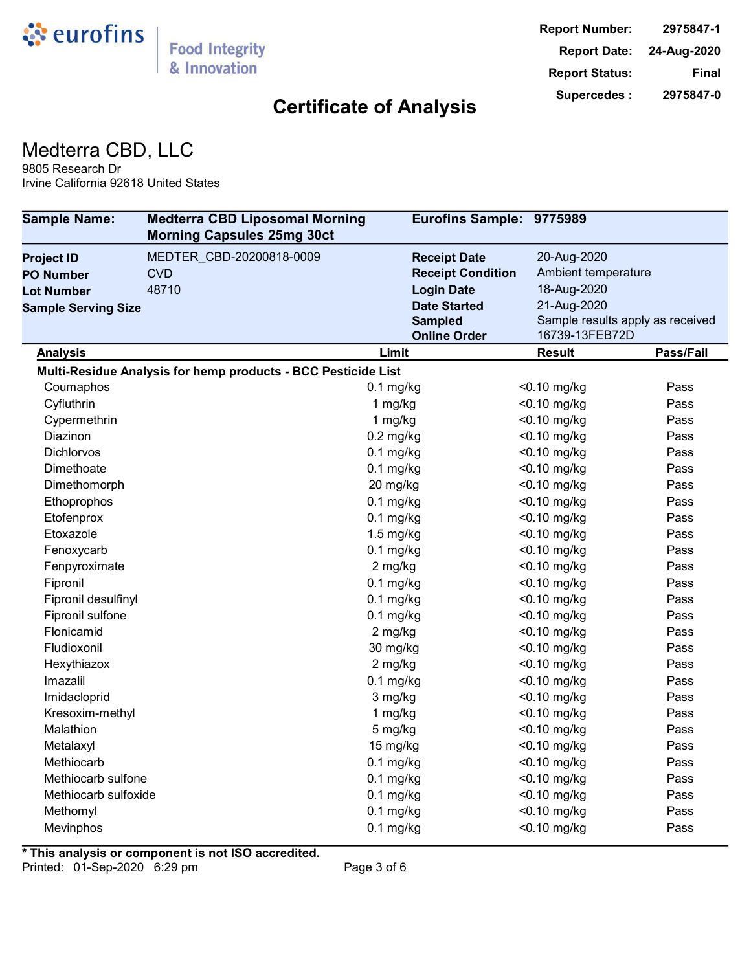

#### Medterra CBD, LLC

9805 Research Dr Irvine California 92618 United States

| <b>Sample Name:</b>        | <b>Medterra CBD Liposomal Morning</b><br><b>Morning Capsules 25mg 30ct</b> | Eurofins Sample: 9775989 |                                  |           |
|----------------------------|----------------------------------------------------------------------------|--------------------------|----------------------------------|-----------|
| <b>Project ID</b>          | MEDTER_CBD-20200818-0009                                                   | <b>Receipt Date</b>      | 20-Aug-2020                      |           |
| <b>PO Number</b>           | <b>CVD</b>                                                                 | <b>Receipt Condition</b> | Ambient temperature              |           |
| <b>Lot Number</b>          | 48710                                                                      | <b>Login Date</b>        | 18-Aug-2020                      |           |
| <b>Sample Serving Size</b> |                                                                            | <b>Date Started</b>      | 21-Aug-2020                      |           |
|                            |                                                                            | <b>Sampled</b>           | Sample results apply as received |           |
|                            |                                                                            | <b>Online Order</b>      | 16739-13FEB72D                   |           |
| <b>Analysis</b>            |                                                                            | Limit                    | <b>Result</b>                    | Pass/Fail |
|                            | Multi-Residue Analysis for hemp products - BCC Pesticide List              |                          |                                  |           |
| Coumaphos                  |                                                                            | $0.1$ mg/kg              | <0.10 mg/kg                      | Pass      |
| Cyfluthrin                 |                                                                            | 1 mg/kg                  | $<$ 0.10 mg/kg                   | Pass      |
| Cypermethrin               |                                                                            | 1 mg/kg                  | $<$ 0.10 mg/kg                   | Pass      |
| Diazinon                   |                                                                            | $0.2$ mg/kg              | $<$ 0.10 mg/kg                   | Pass      |
| <b>Dichlorvos</b>          |                                                                            | $0.1$ mg/kg              | $<$ 0.10 mg/kg                   | Pass      |
| Dimethoate                 |                                                                            | $0.1$ mg/kg              | $<$ 0.10 mg/kg                   | Pass      |
| Dimethomorph               |                                                                            | 20 mg/kg                 | <0.10 mg/kg                      | Pass      |
| Ethoprophos                |                                                                            | $0.1$ mg/kg              | <0.10 mg/kg                      | Pass      |
| Etofenprox                 |                                                                            | $0.1$ mg/kg              | $<$ 0.10 mg/kg                   | Pass      |
| Etoxazole                  |                                                                            | $1.5$ mg/kg              | <0.10 mg/kg                      | Pass      |
| Fenoxycarb                 |                                                                            | $0.1$ mg/kg              | <0.10 mg/kg                      | Pass      |
| Fenpyroximate              |                                                                            | 2 mg/kg                  | $<$ 0.10 mg/kg                   | Pass      |
| Fipronil                   |                                                                            | $0.1$ mg/kg              | $<$ 0.10 mg/kg                   | Pass      |
| Fipronil desulfinyl        |                                                                            | $0.1$ mg/kg              | <0.10 mg/kg                      | Pass      |
| Fipronil sulfone           |                                                                            | $0.1$ mg/kg              | <0.10 mg/kg                      | Pass      |
| Flonicamid                 |                                                                            | 2 mg/kg                  | $<$ 0.10 mg/kg                   | Pass      |
| Fludioxonil                |                                                                            | 30 mg/kg                 | <0.10 mg/kg                      | Pass      |
| Hexythiazox                |                                                                            | 2 mg/kg                  | <0.10 mg/kg                      | Pass      |
| Imazalil                   |                                                                            | $0.1$ mg/kg              | $<$ 0.10 mg/kg                   | Pass      |
| Imidacloprid               |                                                                            | 3 mg/kg                  | $<$ 0.10 mg/kg                   | Pass      |
| Kresoxim-methyl            |                                                                            | 1 mg/kg                  | <0.10 mg/kg                      | Pass      |
| Malathion                  |                                                                            | 5 mg/kg                  | <0.10 mg/kg                      | Pass      |
| Metalaxyl                  |                                                                            | 15 mg/kg                 | $<$ 0.10 mg/kg                   | Pass      |
| Methiocarb                 |                                                                            | $0.1$ mg/kg              | <0.10 mg/kg                      | Pass      |
| Methiocarb sulfone         |                                                                            | $0.1$ mg/kg              | $<$ 0.10 mg/kg                   | Pass      |
| Methiocarb sulfoxide       |                                                                            | $0.1$ mg/kg              | <0.10 mg/kg                      | Pass      |
| Methomyl                   |                                                                            | $0.1$ mg/kg              | <0.10 mg/kg                      | Pass      |
| Mevinphos                  |                                                                            | $0.1$ mg/kg              | <0.10 mg/kg                      | Pass      |

**\* This analysis or component is not ISO accredited.**

Printed: 01-Sep-2020 6:29 pm Page 3 of 6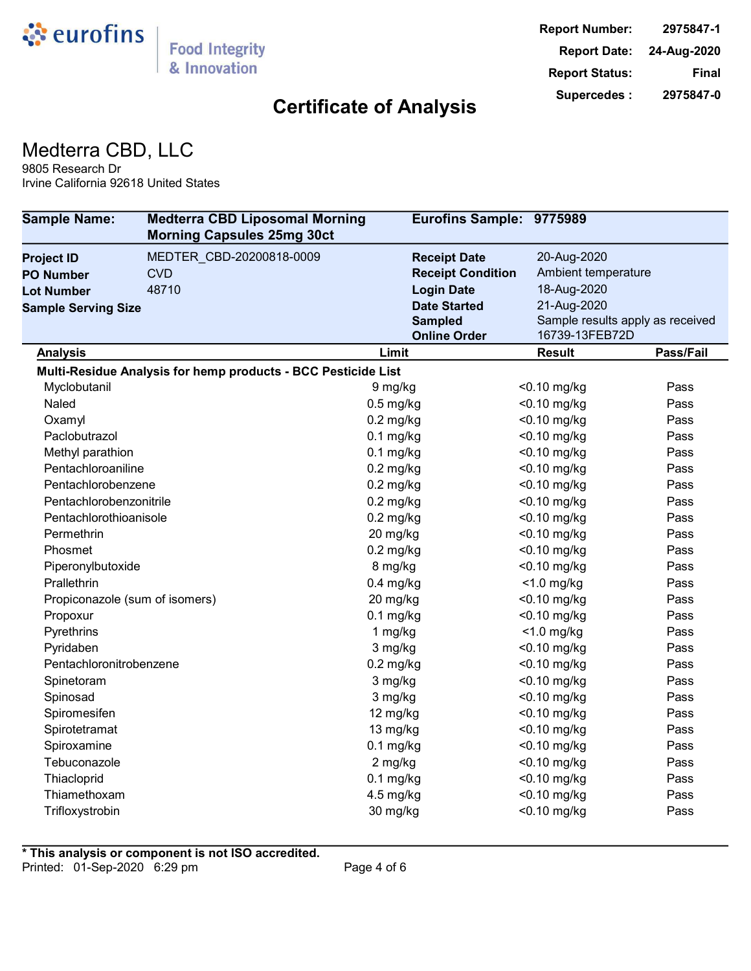

## Medterra CBD, LLC

9805 Research Dr Irvine California 92618 United States

| <b>Sample Name:</b>            | <b>Medterra CBD Liposomal Morning</b><br><b>Morning Capsules 25mg 30ct</b> | Eurofins Sample: 9775989              |                     |                                  |
|--------------------------------|----------------------------------------------------------------------------|---------------------------------------|---------------------|----------------------------------|
| <b>Project ID</b>              | MEDTER_CBD-20200818-0009                                                   | <b>Receipt Date</b>                   | 20-Aug-2020         |                                  |
| <b>PO Number</b>               | <b>CVD</b>                                                                 | <b>Receipt Condition</b>              | Ambient temperature |                                  |
| <b>Lot Number</b>              | 48710                                                                      | <b>Login Date</b>                     | 18-Aug-2020         |                                  |
| <b>Sample Serving Size</b>     |                                                                            | <b>Date Started</b>                   | 21-Aug-2020         |                                  |
|                                |                                                                            | <b>Sampled</b><br><b>Online Order</b> | 16739-13FEB72D      | Sample results apply as received |
| <b>Analysis</b>                |                                                                            | Limit                                 | <b>Result</b>       | Pass/Fail                        |
|                                | Multi-Residue Analysis for hemp products - BCC Pesticide List              |                                       |                     |                                  |
| Myclobutanil                   |                                                                            | 9 mg/kg                               | $<$ 0.10 mg/kg      | Pass                             |
| Naled                          |                                                                            | $0.5$ mg/kg                           | <0.10 mg/kg         | Pass                             |
| Oxamyl                         |                                                                            | $0.2$ mg/kg                           | $<$ 0.10 mg/kg      | Pass                             |
| Paclobutrazol                  |                                                                            | $0.1$ mg/kg                           | <0.10 mg/kg         | Pass                             |
| Methyl parathion               |                                                                            | $0.1$ mg/kg                           | <0.10 mg/kg         | Pass                             |
| Pentachloroaniline             |                                                                            | $0.2$ mg/kg                           | <0.10 mg/kg         | Pass                             |
| Pentachlorobenzene             |                                                                            | $0.2$ mg/kg                           | $<$ 0.10 mg/kg      | Pass                             |
| Pentachlorobenzonitrile        |                                                                            | $0.2$ mg/kg                           | $<$ 0.10 mg/kg      | Pass                             |
| Pentachlorothioanisole         |                                                                            | $0.2$ mg/kg                           | $<$ 0.10 mg/kg      | Pass                             |
| Permethrin                     |                                                                            | 20 mg/kg                              | $<$ 0.10 mg/kg      | Pass                             |
| Phosmet                        |                                                                            | $0.2$ mg/kg                           | $<$ 0.10 mg/kg      | Pass                             |
| Piperonylbutoxide              |                                                                            | 8 mg/kg                               | $<$ 0.10 mg/kg      | Pass                             |
| Prallethrin                    |                                                                            | $0.4$ mg/kg                           | $<$ 1.0 mg/kg       | Pass                             |
| Propiconazole (sum of isomers) |                                                                            | 20 mg/kg                              | $<$ 0.10 mg/kg      | Pass                             |
| Propoxur                       |                                                                            | $0.1$ mg/kg                           | $<$ 0.10 mg/kg      | Pass                             |
| Pyrethrins                     |                                                                            | 1 $mg/kg$                             | $<$ 1.0 mg/kg       | Pass                             |
| Pyridaben                      |                                                                            | 3 mg/kg                               | <0.10 mg/kg         | Pass                             |
| Pentachloronitrobenzene        |                                                                            | $0.2$ mg/kg                           | <0.10 mg/kg         | Pass                             |
| Spinetoram                     |                                                                            | 3 mg/kg                               | <0.10 mg/kg         | Pass                             |
| Spinosad                       |                                                                            | 3 mg/kg                               | $<$ 0.10 mg/kg      | Pass                             |
| Spiromesifen                   |                                                                            | 12 mg/kg                              | $<$ 0.10 mg/kg      | Pass                             |
| Spirotetramat                  |                                                                            | 13 mg/kg                              | $<$ 0.10 mg/kg      | Pass                             |
| Spiroxamine                    |                                                                            | $0.1$ mg/kg                           | $<$ 0.10 mg/kg      | Pass                             |
| Tebuconazole                   |                                                                            | 2 mg/kg                               | $<$ 0.10 mg/kg      | Pass                             |
| Thiacloprid                    |                                                                            | $0.1$ mg/kg                           | $<$ 0.10 mg/kg      | Pass                             |
| Thiamethoxam                   |                                                                            | $4.5$ mg/kg                           | $<$ 0.10 mg/kg      | Pass                             |
| Trifloxystrobin                |                                                                            | 30 mg/kg                              | $<$ 0.10 mg/kg      | Pass                             |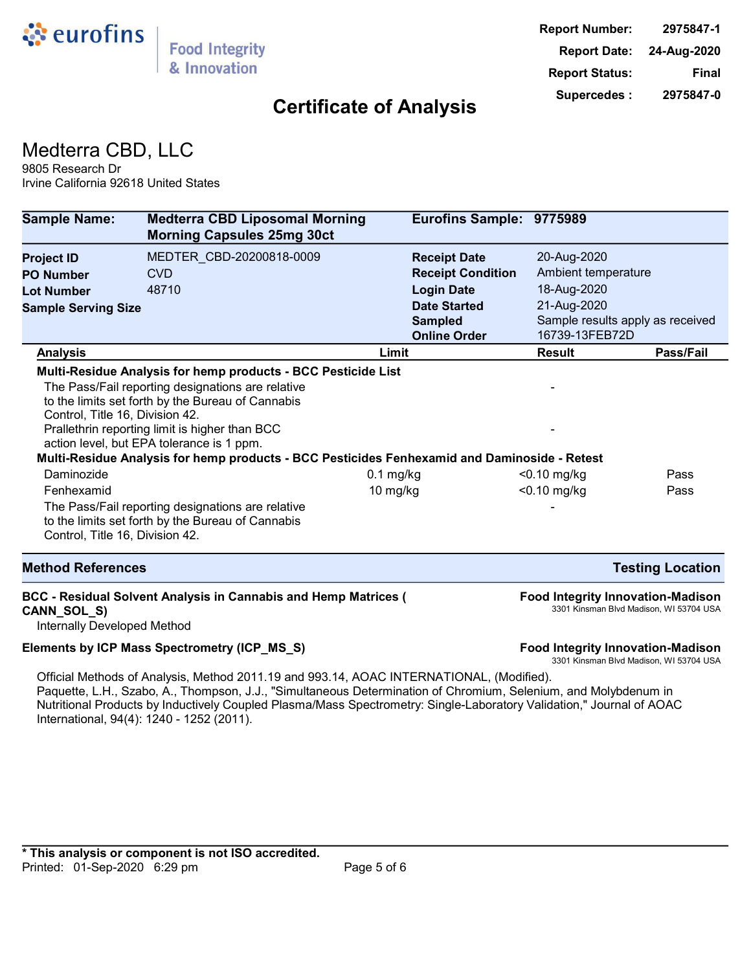

## Medterra CBD, LLC

9805 Research Dr Irvine California 92618 United States

| <b>Sample Name:</b>                                                                                                  | <b>Medterra CBD Liposomal Morning</b><br><b>Morning Capsules 25mg 30ct</b>                                                                                                                                                                                                                                                                                                                                                                                                       | Eurofins Sample: 9775989                        |                                    |                                                                                     |
|----------------------------------------------------------------------------------------------------------------------|----------------------------------------------------------------------------------------------------------------------------------------------------------------------------------------------------------------------------------------------------------------------------------------------------------------------------------------------------------------------------------------------------------------------------------------------------------------------------------|-------------------------------------------------|------------------------------------|-------------------------------------------------------------------------------------|
| <b>Project ID</b><br><b>PO Number</b>                                                                                | MEDTER CBD-20200818-0009<br><b>CVD</b>                                                                                                                                                                                                                                                                                                                                                                                                                                           | <b>Receipt Date</b><br><b>Receipt Condition</b> | 20-Aug-2020<br>Ambient temperature |                                                                                     |
| <b>Lot Number</b>                                                                                                    | 48710                                                                                                                                                                                                                                                                                                                                                                                                                                                                            | <b>Login Date</b>                               | 18-Aug-2020                        |                                                                                     |
| <b>Sample Serving Size</b>                                                                                           |                                                                                                                                                                                                                                                                                                                                                                                                                                                                                  | <b>Date Started</b>                             | 21-Aug-2020                        |                                                                                     |
|                                                                                                                      |                                                                                                                                                                                                                                                                                                                                                                                                                                                                                  | <b>Sampled</b>                                  |                                    | Sample results apply as received                                                    |
|                                                                                                                      |                                                                                                                                                                                                                                                                                                                                                                                                                                                                                  | <b>Online Order</b>                             | 16739-13FEB72D                     |                                                                                     |
| <b>Analysis</b>                                                                                                      |                                                                                                                                                                                                                                                                                                                                                                                                                                                                                  | Limit                                           | <b>Result</b>                      | Pass/Fail                                                                           |
| Control, Title 16, Division 42.<br>Daminozide<br>Fenhexamid<br>Control, Title 16, Division 42.                       | Multi-Residue Analysis for hemp products - BCC Pesticide List<br>The Pass/Fail reporting designations are relative<br>to the limits set forth by the Bureau of Cannabis<br>Prallethrin reporting limit is higher than BCC<br>action level, but EPA tolerance is 1 ppm.<br>Multi-Residue Analysis for hemp products - BCC Pesticides Fenhexamid and Daminoside - Retest<br>The Pass/Fail reporting designations are relative<br>to the limits set forth by the Bureau of Cannabis | $0.1$ mg/kg<br>$10$ mg/kg                       | $<$ 0.10 mg/kg<br>$<$ 0.10 mg/kg   | Pass<br>Pass                                                                        |
| <b>Method References</b>                                                                                             |                                                                                                                                                                                                                                                                                                                                                                                                                                                                                  |                                                 |                                    | <b>Testing Location</b>                                                             |
| <b>BCC - Residual Solvent Analysis in Cannabis and Hemp Matrices (</b><br>CANN_SOL_S)<br>Internally Developed Method |                                                                                                                                                                                                                                                                                                                                                                                                                                                                                  |                                                 |                                    | <b>Food Integrity Innovation-Madison</b><br>3301 Kinsman Blvd Madison, WI 53704 USA |
| Elements by ICP Mass Spectrometry (ICP_MS_S)                                                                         |                                                                                                                                                                                                                                                                                                                                                                                                                                                                                  |                                                 |                                    | <b>Food Integrity Innovation-Madison</b><br>3301 Kinsman Blvd Madison, WI 53704 USA |
|                                                                                                                      | Official Methods of Analysis, Method 2011.19 and 993.14, AOAC INTERNATIONAL, (Modified).<br>Paquette, L.H., Szabo, A., Thompson, J.J., "Simultaneous Determination of Chromium, Selenium, and Molybdenum in<br>Nutritional Products by Inductively Coupled Plasma/Mass Spectrometry: Single-Laboratory Validation," Journal of AOAC<br>International, 94(4): 1240 - 1252 (2011).                                                                                                 |                                                 |                                    |                                                                                     |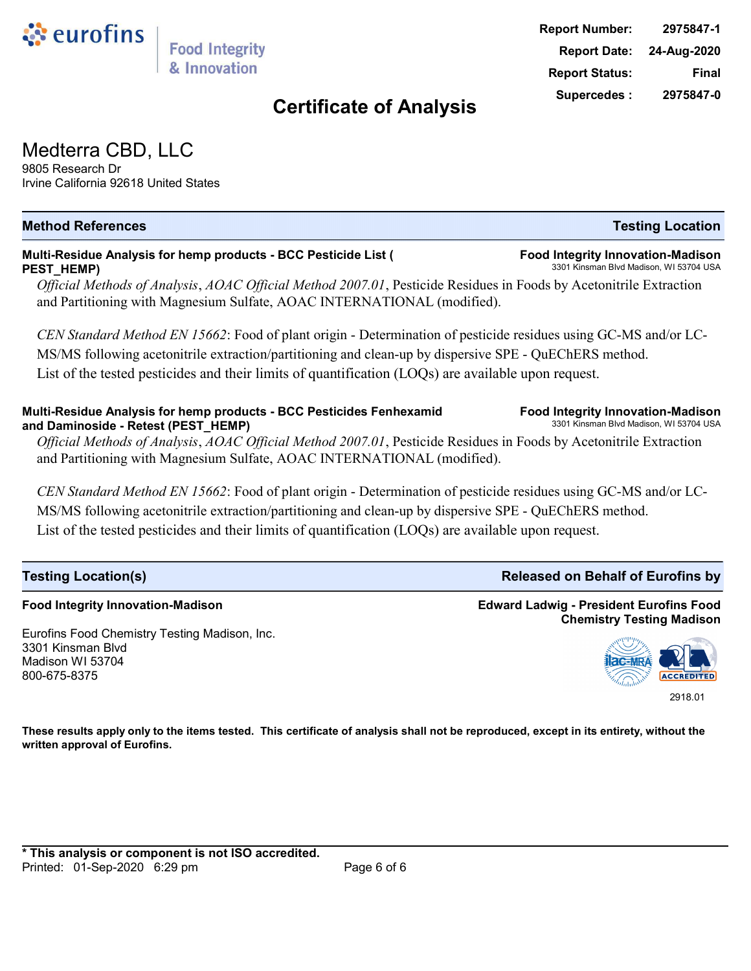Medterra CBD, LLC 9805 Research Dr

ं eurofins

Irvine California 92618 United States

**Food Integrity Innovation-Madison**

3301 Kinsman Blvd Madison WI 53704 800-675-8375

Eurofins Food Chemistry Testing Madison, Inc.

#### **Multi-Residue Analysis for hemp products - BCC Pesticide List ( Food Integrity Innovation-Madison PEST\_HEMP)** 3301 Kinsman Blvd Madison, WI 53704 USA

**Food Integrity** & Innovation

*Official Methods of Analysis*, *AOAC Official Method 2007.01*, Pesticide Residues in Foods by Acetonitrile Extraction and Partitioning with Magnesium Sulfate, AOAC INTERNATIONAL (modified).

**Method References Testing Location**

*CEN Standard Method EN 15662*: Food of plant origin - Determination of pesticide residues using GC-MS and/or LC-MS/MS following acetonitrile extraction/partitioning and clean-up by dispersive SPE - QuEChERS method. List of the tested pesticides and their limits of quantification (LOQs) are available upon request.

#### Multi-Residue Analysis for hemp products - BCC Pesticides Fenhexamid **Food Integrity Innovation-Madison**<br>And Daminoside - Retest (PEST, HEMP) and Daminoside - Retest (PEST\_HEMP)

*Official Methods of Analysis*, *AOAC Official Method 2007.01*, Pesticide Residues in Foods by Acetonitrile Extraction and Partitioning with Magnesium Sulfate, AOAC INTERNATIONAL (modified).

*CEN Standard Method EN 15662*: Food of plant origin - Determination of pesticide residues using GC-MS and/or LC-MS/MS following acetonitrile extraction/partitioning and clean-up by dispersive SPE - QuEChERS method. List of the tested pesticides and their limits of quantification (LOQs) are available upon request.

**Testing Location(s) Released on Behalf of Eurofins by Released on Behalf of Eurofins by** 

**These results apply only to the items tested. This certificate of analysis shall not be reproduced, except in its entirety, without the written approval of Eurofins.**

## **Edward Ladwig - President Eurofins Food Chemistry Testing Madison**

**ACCREDITED** 2918.01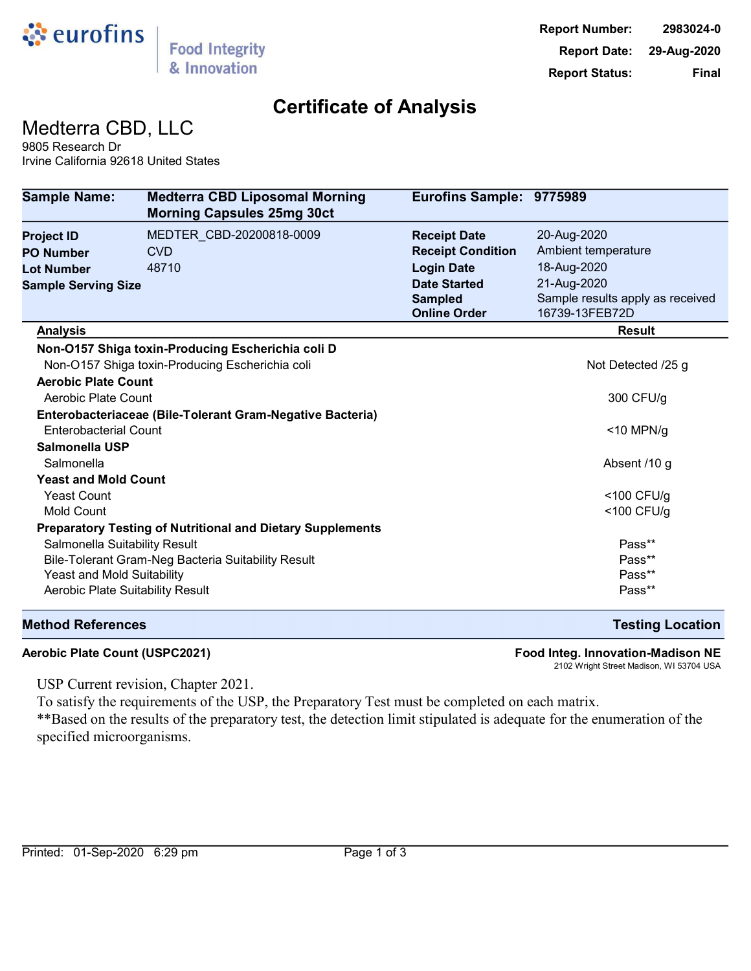

Medterra CBD, LLC

9805 Research Dr Irvine California 92618 United States

| <b>Sample Name:</b>                                       | <b>Medterra CBD Liposomal Morning</b><br><b>Morning Capsules 25mg 30ct</b> | Eurofins Sample: 9775989 |                                  |
|-----------------------------------------------------------|----------------------------------------------------------------------------|--------------------------|----------------------------------|
| <b>Project ID</b>                                         | MEDTER_CBD-20200818-0009                                                   | <b>Receipt Date</b>      | 20-Aug-2020                      |
| <b>PO Number</b>                                          | <b>CVD</b>                                                                 | <b>Receipt Condition</b> | Ambient temperature              |
| <b>Lot Number</b>                                         | 48710                                                                      | <b>Login Date</b>        | 18-Aug-2020                      |
| <b>Sample Serving Size</b>                                |                                                                            | <b>Date Started</b>      | 21-Aug-2020                      |
|                                                           |                                                                            | <b>Sampled</b>           | Sample results apply as received |
|                                                           |                                                                            | <b>Online Order</b>      | 16739-13FEB72D                   |
| <b>Analysis</b>                                           |                                                                            |                          | <b>Result</b>                    |
|                                                           | Non-O157 Shiga toxin-Producing Escherichia coli D                          |                          |                                  |
|                                                           | Non-O157 Shiga toxin-Producing Escherichia coli                            |                          | Not Detected /25 g               |
| <b>Aerobic Plate Count</b>                                |                                                                            |                          |                                  |
| Aerobic Plate Count                                       |                                                                            |                          | 300 CFU/g                        |
| Enterobacteriaceae (Bile-Tolerant Gram-Negative Bacteria) |                                                                            |                          |                                  |
| <b>Enterobacterial Count</b>                              |                                                                            |                          | $<$ 10 MPN/g                     |
| Salmonella USP                                            |                                                                            |                          |                                  |
| Salmonella                                                |                                                                            |                          | Absent /10 g                     |
| <b>Yeast and Mold Count</b>                               |                                                                            |                          |                                  |
| <b>Yeast Count</b>                                        |                                                                            |                          | $<$ 100 CFU/g                    |
| <b>Mold Count</b>                                         |                                                                            |                          | $<$ 100 CFU/g                    |
|                                                           | <b>Preparatory Testing of Nutritional and Dietary Supplements</b>          |                          |                                  |
| Salmonella Suitability Result                             |                                                                            |                          | Pass**                           |
|                                                           | Bile-Tolerant Gram-Neg Bacteria Suitability Result                         |                          | Pass**                           |
| Yeast and Mold Suitability                                |                                                                            |                          | Pass**                           |
| Aerobic Plate Suitability Result                          |                                                                            |                          | Pass**                           |
|                                                           |                                                                            |                          |                                  |

#### **Method References Testing Location**

**Aerobic Plate Count (USPC2021) Food Integ. Innovation-Madison NE**

2102 Wright Street Madison, WI 53704 USA

USP Current revision, Chapter 2021.

To satisfy the requirements of the USP, the Preparatory Test must be completed on each matrix.

\*\*Based on the results of the preparatory test, the detection limit stipulated is adequate for the enumeration of the specified microorganisms.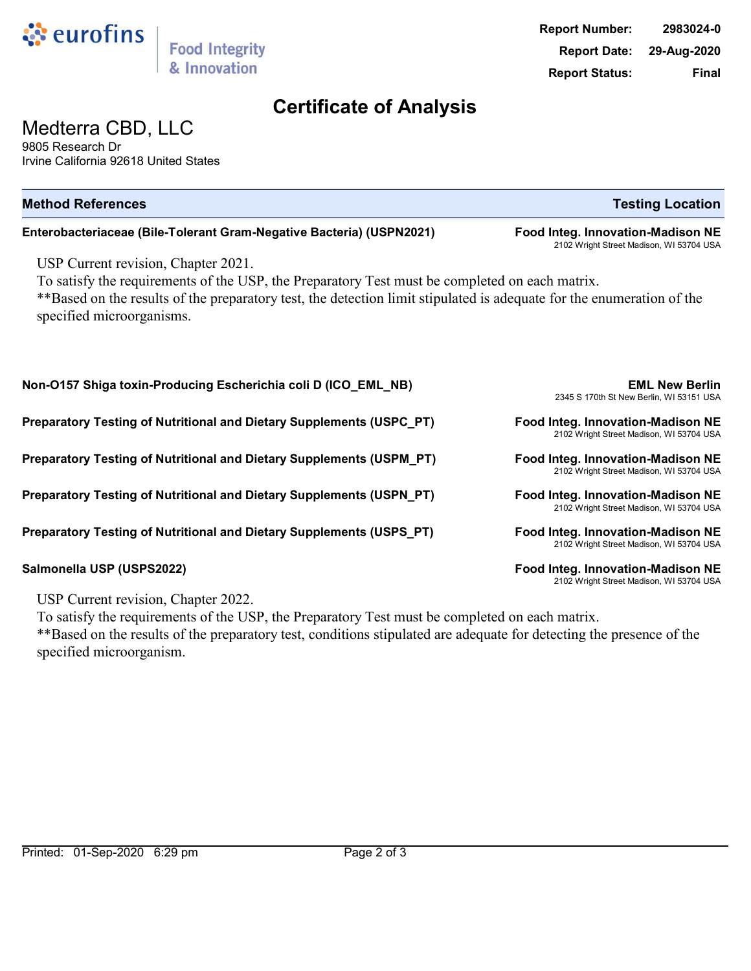

# Medterra CBD, LLC

9805 Research Dr Irvine California 92618 United States

| <b>Method References</b>                                                                                                                                                                                                                                                                    | <b>Testing Location</b>                                                       |  |  |  |
|---------------------------------------------------------------------------------------------------------------------------------------------------------------------------------------------------------------------------------------------------------------------------------------------|-------------------------------------------------------------------------------|--|--|--|
| Enterobacteriaceae (Bile-Tolerant Gram-Negative Bacteria) (USPN2021)                                                                                                                                                                                                                        | Food Integ. Innovation-Madison NE<br>2102 Wright Street Madison, WI 53704 USA |  |  |  |
| USP Current revision, Chapter 2021.<br>To satisfy the requirements of the USP, the Preparatory Test must be completed on each matrix.<br>**Based on the results of the preparatory test, the detection limit stipulated is adequate for the enumeration of the<br>specified microorganisms. |                                                                               |  |  |  |
| Non-O157 Shiga toxin-Producing Escherichia coli D (ICO_EML_NB)                                                                                                                                                                                                                              | <b>EML New Berlin</b><br>2345 S 170th St New Berlin, WI 53151 USA             |  |  |  |
| Preparatory Testing of Nutritional and Dietary Supplements (USPC_PT)                                                                                                                                                                                                                        | Food Integ. Innovation-Madison NE<br>2102 Wright Street Madison, WI 53704 USA |  |  |  |
| Preparatory Testing of Nutritional and Dietary Supplements (USPM_PT)                                                                                                                                                                                                                        | Food Integ. Innovation-Madison NE<br>2102 Wright Street Madison, WI 53704 USA |  |  |  |
| Preparatory Testing of Nutritional and Dietary Supplements (USPN_PT)                                                                                                                                                                                                                        | Food Integ. Innovation-Madison NE<br>2102 Wright Street Madison, WI 53704 USA |  |  |  |
| Preparatory Testing of Nutritional and Dietary Supplements (USPS_PT)                                                                                                                                                                                                                        | Food Integ. Innovation-Madison NE<br>2102 Wright Street Madison, WI 53704 USA |  |  |  |
| Salmonella USP (USPS2022)                                                                                                                                                                                                                                                                   | Food Integ. Innovation-Madison NE<br>2102 Wright Street Madison, WI 53704 USA |  |  |  |

USP Current revision, Chapter 2022.

To satisfy the requirements of the USP, the Preparatory Test must be completed on each matrix. \*\*Based on the results of the preparatory test, conditions stipulated are adequate for detecting the presence of the specified microorganism.

2102 Wright Street Madison, WI 53704 USA